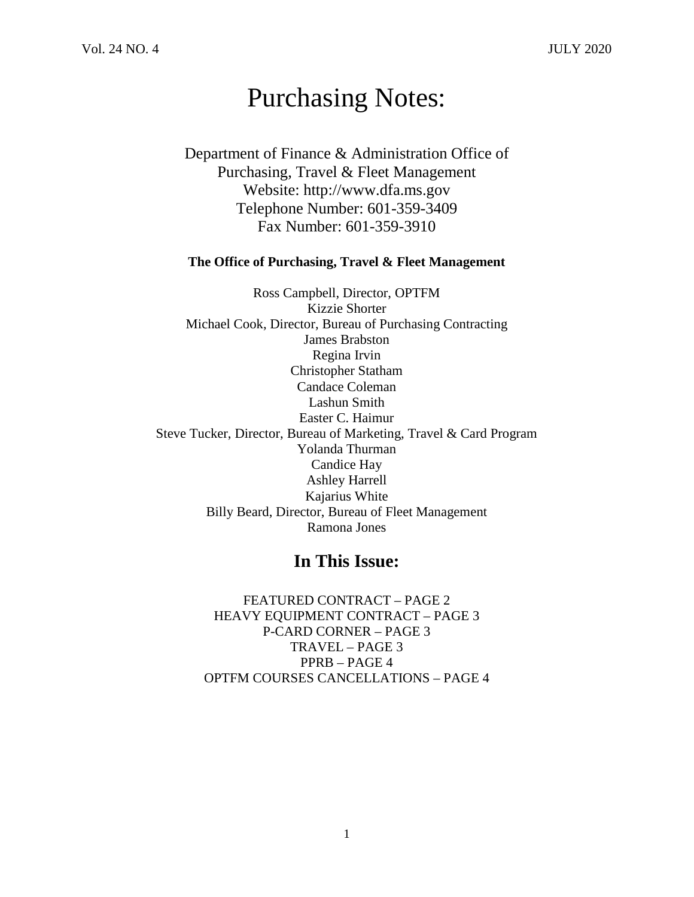# Purchasing Notes:

Department of Finance & Administration Office of Purchasing, Travel & Fleet Management Website: http://www.dfa.ms.gov Telephone Number: 601-359-3409 Fax Number: 601-359-3910

#### **The Office of Purchasing, Travel & Fleet Management**

Ross Campbell, Director, OPTFM Kizzie Shorter Michael Cook, Director, Bureau of Purchasing Contracting James Brabston Regina Irvin Christopher Statham Candace Coleman Lashun Smith Easter C. Haimur Steve Tucker, Director, Bureau of Marketing, Travel & Card Program Yolanda Thurman Candice Hay Ashley Harrell Kajarius White Billy Beard, Director, Bureau of Fleet Management Ramona Jones

## **In This Issue:**

FEATURED CONTRACT – PAGE 2 HEAVY EQUIPMENT CONTRACT – PAGE 3 P-CARD CORNER – PAGE 3 TRAVEL – PAGE 3 PPRB – PAGE 4 OPTFM COURSES CANCELLATIONS – PAGE 4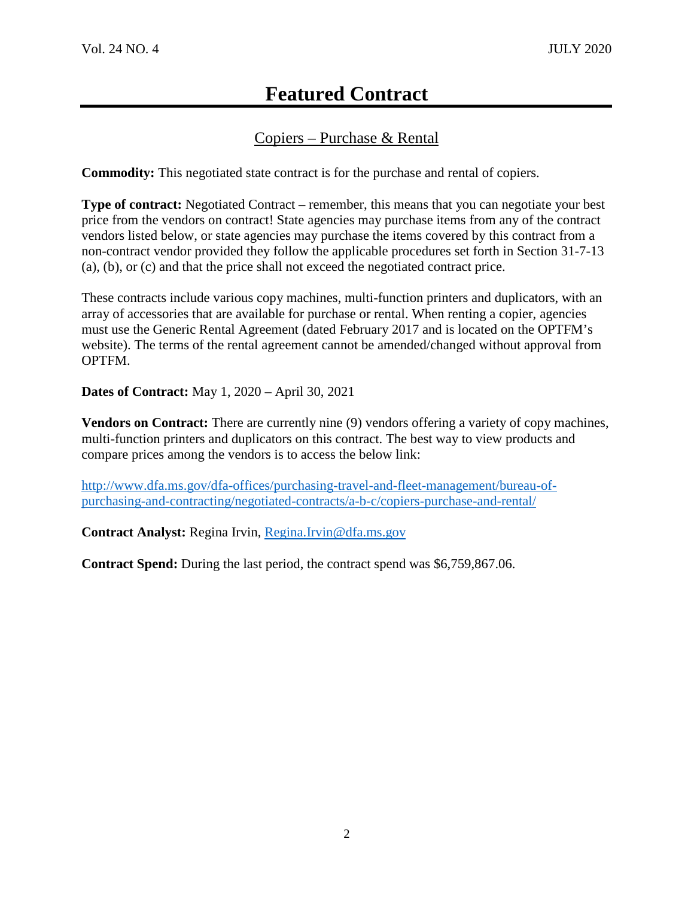# **Featured Contract**

## Copiers – Purchase & Rental

**Commodity:** This negotiated state contract is for the purchase and rental of copiers.

**Type of contract:** Negotiated Contract – remember, this means that you can negotiate your best price from the vendors on contract! State agencies may purchase items from any of the contract vendors listed below, or state agencies may purchase the items covered by this contract from a non-contract vendor provided they follow the applicable procedures set forth in Section 31-7-13 (a), (b), or (c) and that the price shall not exceed the negotiated contract price.

These contracts include various copy machines, multi-function printers and duplicators, with an array of accessories that are available for purchase or rental. When renting a copier, agencies must use the Generic Rental Agreement (dated February 2017 and is located on the OPTFM's website). The terms of the rental agreement cannot be amended/changed without approval from OPTFM.

**Dates of Contract:** May 1, 2020 – April 30, 2021

**Vendors on Contract:** There are currently nine (9) vendors offering a variety of copy machines, multi-function printers and duplicators on this contract. The best way to view products and compare prices among the vendors is to access the below link:

[http://www.dfa.ms.gov/dfa-offices/purchasing-travel-and-fleet-management/bureau-of](http://www.dfa.ms.gov/dfa-offices/purchasing-travel-and-fleet-management/bureau-of-purchasing-and-contracting/negotiated-contracts/a-b-c/copiers-purchase-and-rental/)[purchasing-and-contracting/negotiated-contracts/a-b-c/copiers-purchase-and-rental/](http://www.dfa.ms.gov/dfa-offices/purchasing-travel-and-fleet-management/bureau-of-purchasing-and-contracting/negotiated-contracts/a-b-c/copiers-purchase-and-rental/)

**Contract Analyst:** Regina Irvin, [Regina.Irvin@dfa.ms.gov](mailto:Regina.Irvin@dfa.ms.gov)

**Contract Spend:** During the last period, the contract spend was \$6,759,867.06.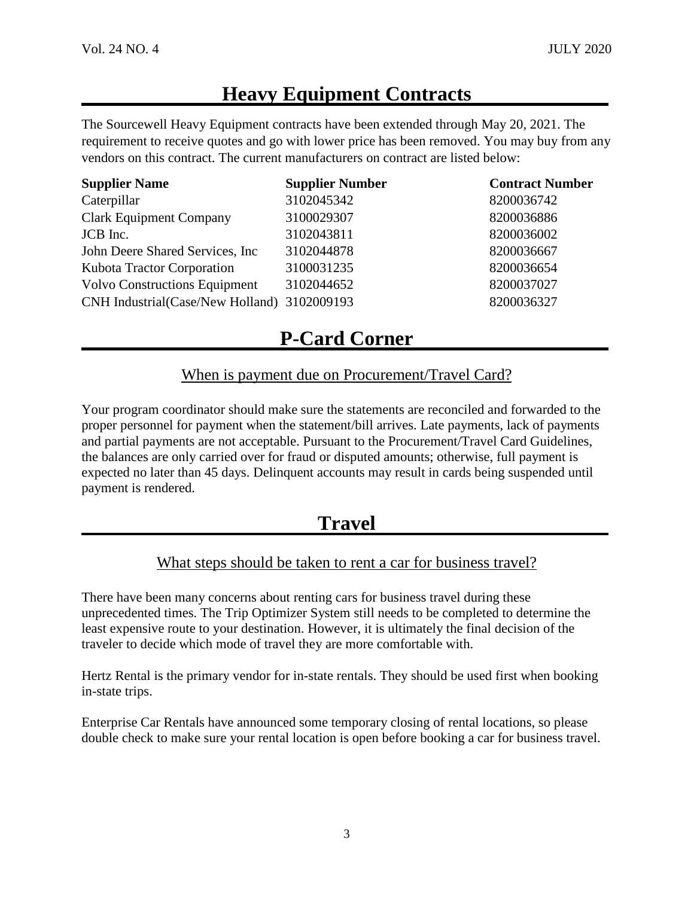# **Heavy Equipment Contracts**

The Sourcewell Heavy Equipment contracts have been extended through May 20, 2021. The requirement to receive quotes and go with lower price has been removed. You may buy from any vendors on this contract. The current manufacturers on contract are listed below:

| <b>Supplier Name</b>                        | <b>Supplier Number</b> | <b>Contract Number</b> |
|---------------------------------------------|------------------------|------------------------|
| Caterpillar                                 | 3102045342             | 8200036742             |
| <b>Clark Equipment Company</b>              | 3100029307             | 8200036886             |
| JCB Inc.                                    | 3102043811             | 8200036002             |
| John Deere Shared Services, Inc.            | 3102044878             | 8200036667             |
| Kubota Tractor Corporation                  | 3100031235             | 8200036654             |
| <b>Volvo Constructions Equipment</b>        | 3102044652             | 8200037027             |
| CNH Industrial(Case/New Holland) 3102009193 |                        | 8200036327             |

# **P-Card Corner**

### When is payment due on Procurement/Travel Card?

Your program coordinator should make sure the statements are reconciled and forwarded to the proper personnel for payment when the statement/bill arrives. Late payments, lack of payments and partial payments are not acceptable. Pursuant to the Procurement/Travel Card Guidelines, the balances are only carried over for fraud or disputed amounts; otherwise, full payment is expected no later than 45 days. Delinquent accounts may result in cards being suspended until payment is rendered.

## **Travel**

## What steps should be taken to rent a car for business travel?

There have been many concerns about renting cars for business travel during these unprecedented times. The Trip Optimizer System still needs to be completed to determine the least expensive route to your destination. However, it is ultimately the final decision of the traveler to decide which mode of travel they are more comfortable with.

Hertz Rental is the primary vendor for in-state rentals. They should be used first when booking in-state trips.

Enterprise Car Rentals have announced some temporary closing of rental locations, so please double check to make sure your rental location is open before booking a car for business travel.